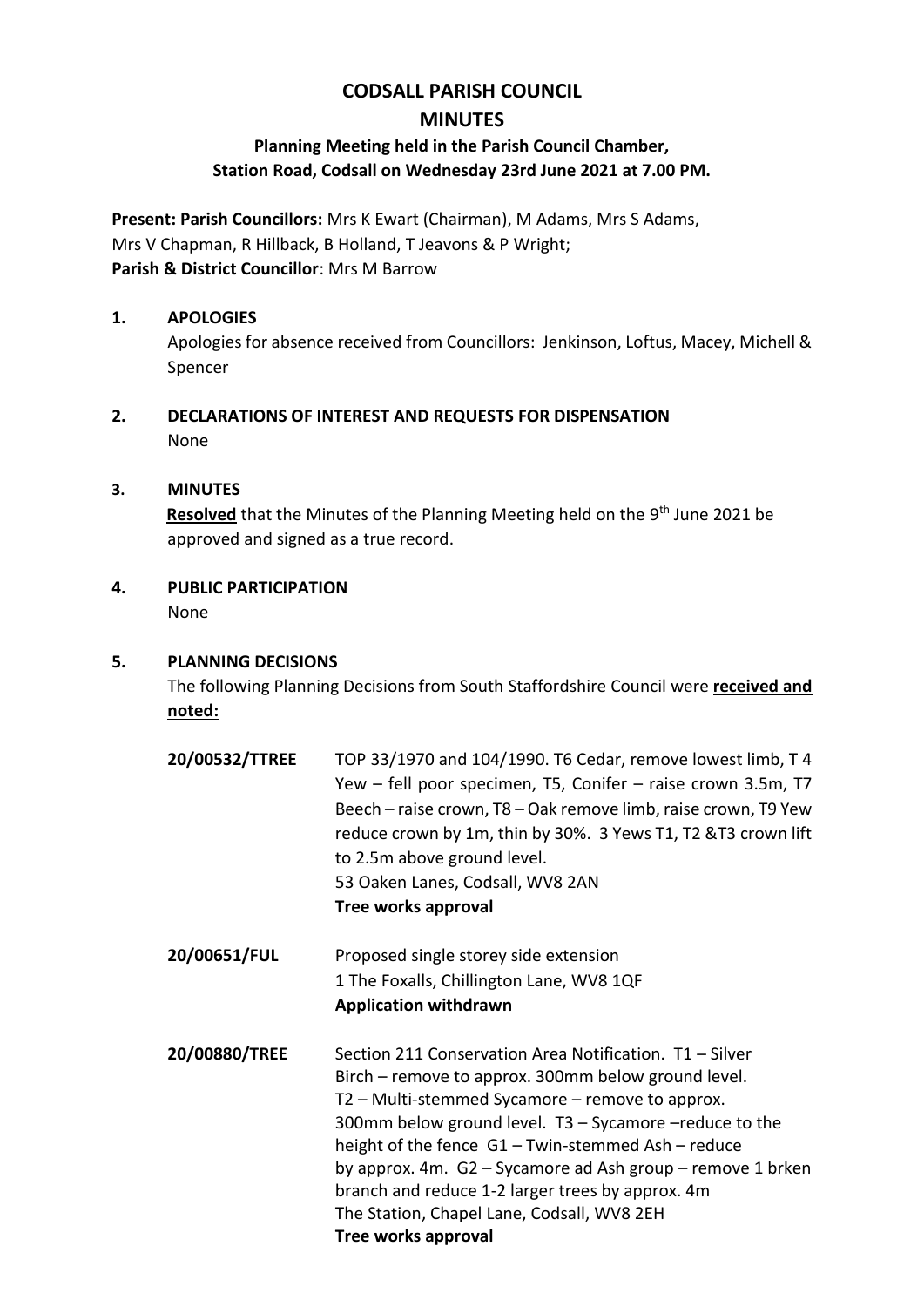# **CODSALL PARISH COUNCIL MINUTES**

## **Planning Meeting held in the Parish Council Chamber, Station Road, Codsall on Wednesday 23rd June 2021 at 7.00 PM.**

**Present: Parish Councillors:** Mrs K Ewart (Chairman), M Adams, Mrs S Adams, Mrs V Chapman, R Hillback, B Holland, T Jeavons & P Wright; **Parish & District Councillor**: Mrs M Barrow

#### **1. APOLOGIES**

Apologies for absence received from Councillors: Jenkinson, Loftus, Macey, Michell & Spencer

**2. DECLARATIONS OF INTEREST AND REQUESTS FOR DISPENSATION** None

#### **3. MINUTES**

Resolved that the Minutes of the Planning Meeting held on the 9<sup>th</sup> June 2021 be approved and signed as a true record.

**4. PUBLIC PARTICIPATION**

None

#### **5. PLANNING DECISIONS**

The following Planning Decisions from South Staffordshire Council were **received and noted:**

- **20/00532/TTREE** TOP 33/1970 and 104/1990. T6 Cedar, remove lowest limb, T 4 Yew – fell poor specimen, T5, Conifer – raise crown 3.5m, T7 Beech – raise crown, T8 – Oak remove limb, raise crown, T9 Yew reduce crown by 1m, thin by 30%. 3 Yews T1, T2 &T3 crown lift to 2.5m above ground level. 53 Oaken Lanes, Codsall, WV8 2AN **Tree works approval**
- **20/00651/FUL** Proposed single storey side extension 1 The Foxalls, Chillington Lane, WV8 1QF **Application withdrawn**
- **20/00880/TREE** Section 211 Conservation Area Notification. T1 Silver Birch – remove to approx. 300mm below ground level. T2 – Multi-stemmed Sycamore – remove to approx. 300mm below ground level. T3 – Sycamore –reduce to the height of the fence G1 – Twin-stemmed Ash – reduce by approx. 4m. G2 – Sycamore ad Ash group – remove 1 brken branch and reduce 1-2 larger trees by approx. 4m The Station, Chapel Lane, Codsall, WV8 2EH **Tree works approval**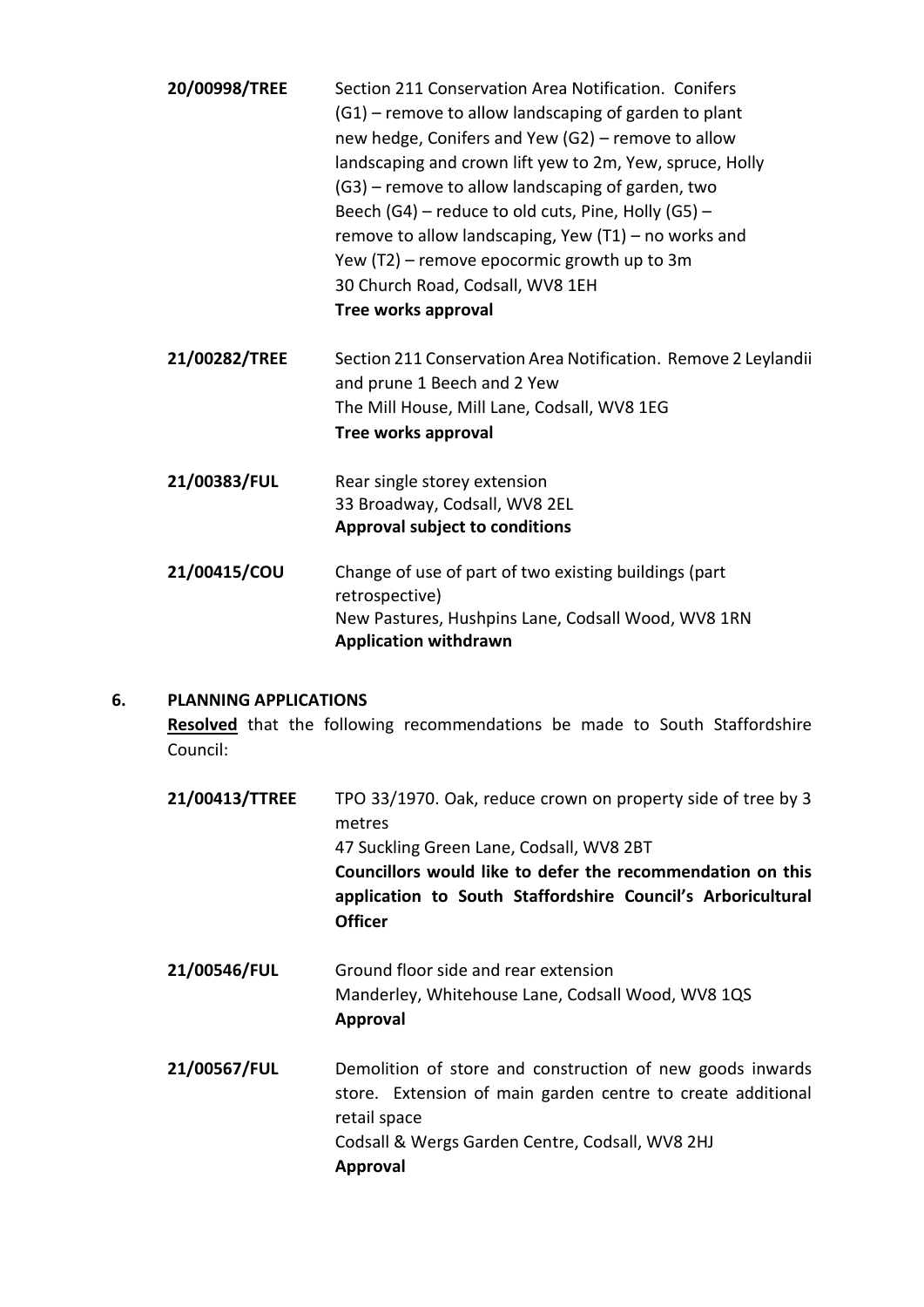| 20/00998/TREE | Section 211 Conservation Area Notification. Conifers<br>(G1) – remove to allow landscaping of garden to plant<br>new hedge, Conifers and Yew (G2) - remove to allow<br>landscaping and crown lift yew to 2m, Yew, spruce, Holly<br>(G3) – remove to allow landscaping of garden, two<br>Beech (G4) - reduce to old cuts, Pine, Holly (G5) -<br>remove to allow landscaping, Yew $(T1)$ – no works and<br>Yew (T2) - remove epocormic growth up to 3m<br>30 Church Road, Codsall, WV8 1EH<br>Tree works approval |
|---------------|-----------------------------------------------------------------------------------------------------------------------------------------------------------------------------------------------------------------------------------------------------------------------------------------------------------------------------------------------------------------------------------------------------------------------------------------------------------------------------------------------------------------|
| 21/00282/TREE | Section 211 Conservation Area Notification. Remove 2 Leylandii<br>and prune 1 Beech and 2 Yew<br>The Mill House, Mill Lane, Codsall, WV8 1EG<br>Tree works approval                                                                                                                                                                                                                                                                                                                                             |
| 21/00383/FUL  | Rear single storey extension<br>33 Broadway, Codsall, WV8 2EL<br><b>Approval subject to conditions</b>                                                                                                                                                                                                                                                                                                                                                                                                          |
| 21/00415/COU  | Change of use of part of two existing buildings (part<br>retrospective)<br>New Pastures, Hushpins Lane, Codsall Wood, WV8 1RN<br><b>Application withdrawn</b>                                                                                                                                                                                                                                                                                                                                                   |

### **6. PLANNING APPLICATIONS**

**Resolved** that the following recommendations be made to South Staffordshire Council:

| 21/00413/TTREE | TPO 33/1970. Oak, reduce crown on property side of tree by 3<br>metres<br>47 Suckling Green Lane, Codsall, WV8 2BT<br>Councillors would like to defer the recommendation on this<br>application to South Staffordshire Council's Arboricultural<br><b>Officer</b> |
|----------------|-------------------------------------------------------------------------------------------------------------------------------------------------------------------------------------------------------------------------------------------------------------------|
| 21/00546/FUL   | Ground floor side and rear extension<br>Manderley, Whitehouse Lane, Codsall Wood, WV8 1QS<br><b>Approval</b>                                                                                                                                                      |
| 21/00567/FUL   | Demolition of store and construction of new goods inwards<br>store. Extension of main garden centre to create additional<br>retail space                                                                                                                          |

Codsall & Wergs Garden Centre, Codsall, WV8 2HJ **Approval**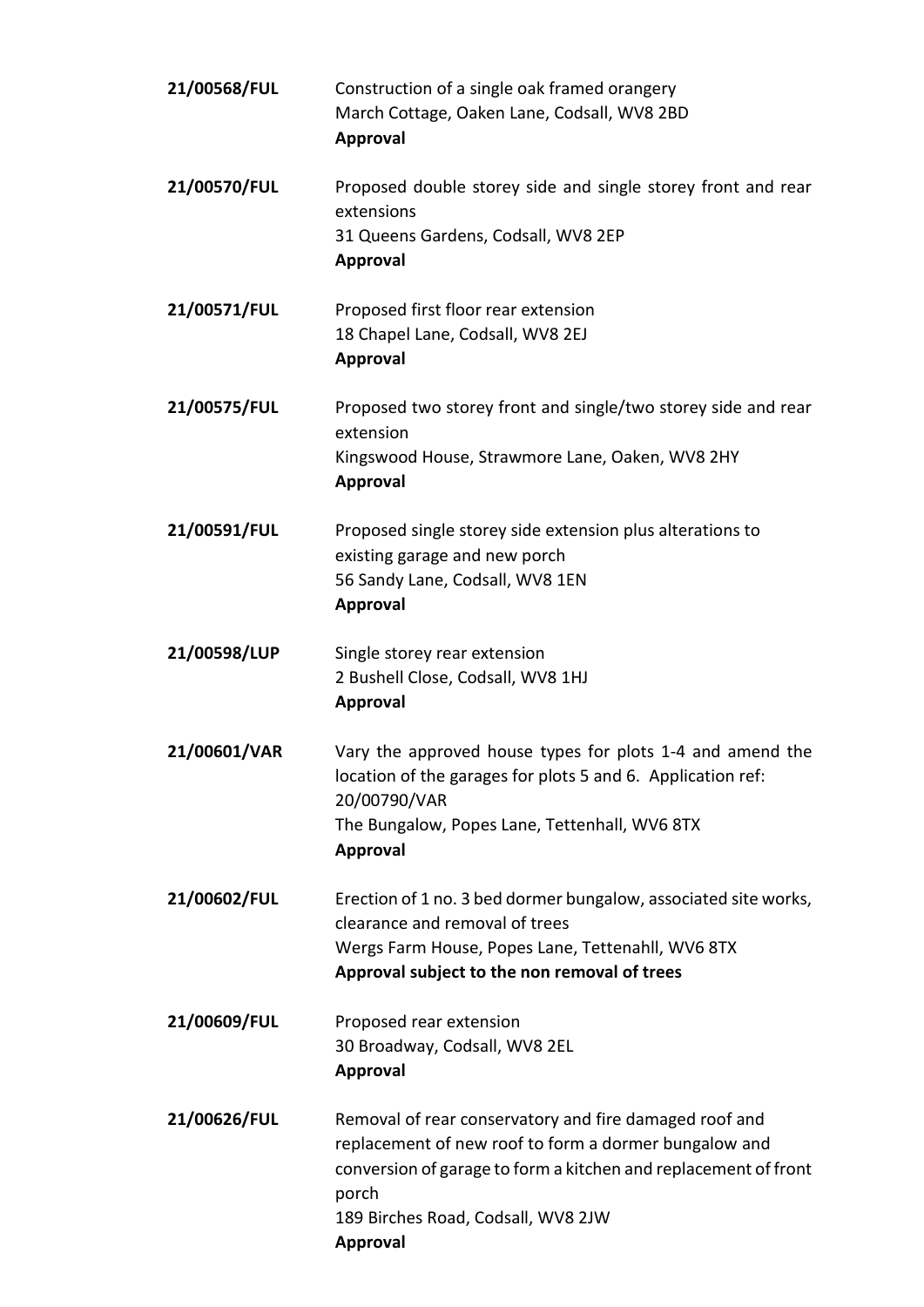| 21/00568/FUL | Construction of a single oak framed orangery<br>March Cottage, Oaken Lane, Codsall, WV8 2BD<br><b>Approval</b>                                                                                                                                       |
|--------------|------------------------------------------------------------------------------------------------------------------------------------------------------------------------------------------------------------------------------------------------------|
| 21/00570/FUL | Proposed double storey side and single storey front and rear<br>extensions<br>31 Queens Gardens, Codsall, WV8 2EP<br><b>Approval</b>                                                                                                                 |
| 21/00571/FUL | Proposed first floor rear extension<br>18 Chapel Lane, Codsall, WV8 2EJ<br><b>Approval</b>                                                                                                                                                           |
| 21/00575/FUL | Proposed two storey front and single/two storey side and rear<br>extension<br>Kingswood House, Strawmore Lane, Oaken, WV8 2HY<br><b>Approval</b>                                                                                                     |
| 21/00591/FUL | Proposed single storey side extension plus alterations to<br>existing garage and new porch<br>56 Sandy Lane, Codsall, WV8 1EN<br><b>Approval</b>                                                                                                     |
| 21/00598/LUP | Single storey rear extension<br>2 Bushell Close, Codsall, WV8 1HJ<br><b>Approval</b>                                                                                                                                                                 |
| 21/00601/VAR | Vary the approved house types for plots 1-4 and amend the<br>location of the garages for plots 5 and 6. Application ref:<br>20/00790/VAR<br>The Bungalow, Popes Lane, Tettenhall, WV6 8TX<br><b>Approval</b>                                         |
| 21/00602/FUL | Erection of 1 no. 3 bed dormer bungalow, associated site works,<br>clearance and removal of trees<br>Wergs Farm House, Popes Lane, Tettenahll, WV6 8TX<br>Approval subject to the non removal of trees                                               |
| 21/00609/FUL | Proposed rear extension<br>30 Broadway, Codsall, WV8 2EL<br><b>Approval</b>                                                                                                                                                                          |
| 21/00626/FUL | Removal of rear conservatory and fire damaged roof and<br>replacement of new roof to form a dormer bungalow and<br>conversion of garage to form a kitchen and replacement of front<br>porch<br>189 Birches Road, Codsall, WV8 2JW<br><b>Approval</b> |